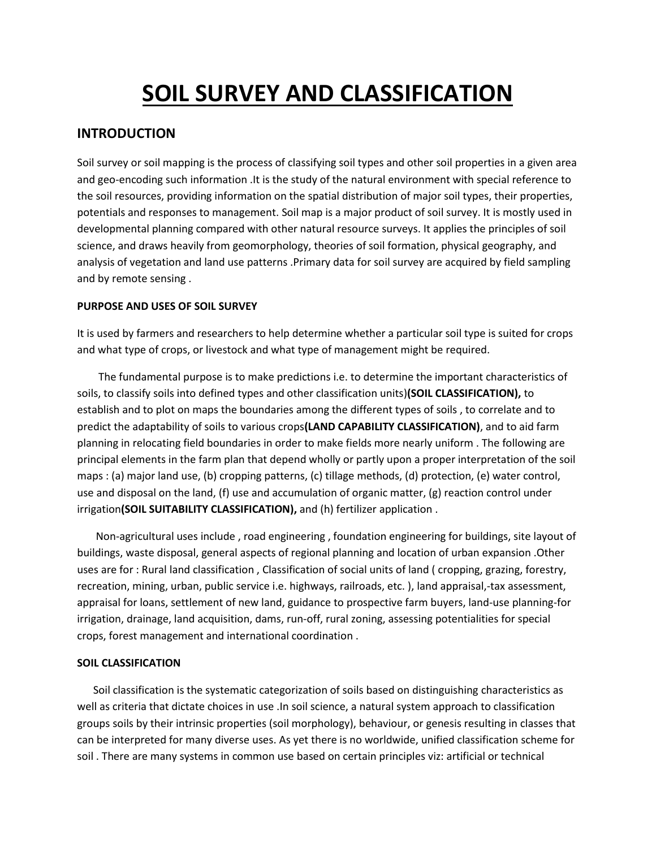# **SOIL SURVEY AND CLASSIFICATION**

# **INTRODUCTION**

Soil survey or soil mapping is the process of classifying soil types and other soil properties in a given area and geo-encoding such information .It is the study of the natural environment with special reference to the soil resources, providing information on the spatial distribution of major soil types, their properties, potentials and responses to management. Soil map is a major product of soil survey. It is mostly used in developmental planning compared with other natural resource surveys. It applies the principles of soil science, and draws heavily from geomorphology, theories of soil formation, physical geography, and analysis of vegetation and land use patterns .Primary data for soil survey are acquired by field sampling and by remote sensing .

## **PURPOSE AND USES OF SOIL SURVEY**

It is used by farmers and researchers to help determine whether a particular soil type is suited for crops and what type of crops, or livestock and what type of management might be required.

 The fundamental purpose is to make predictions i.e. to determine the important characteristics of soils, to classify soils into defined types and other classification units)**(SOIL CLASSIFICATION),** to establish and to plot on maps the boundaries among the different types of soils , to correlate and to predict the adaptability of soils to various crops**(LAND CAPABILITY CLASSIFICATION)**, and to aid farm planning in relocating field boundaries in order to make fields more nearly uniform . The following are principal elements in the farm plan that depend wholly or partly upon a proper interpretation of the soil maps : (a) major land use, (b) cropping patterns, (c) tillage methods, (d) protection, (e) water control, use and disposal on the land, (f) use and accumulation of organic matter, (g) reaction control under irrigation**(SOIL SUITABILITY CLASSIFICATION),** and (h) fertilizer application .

 Non-agricultural uses include , road engineering , foundation engineering for buildings, site layout of buildings, waste disposal, general aspects of regional planning and location of urban expansion .Other uses are for : Rural land classification , Classification of social units of land ( cropping, grazing, forestry, recreation, mining, urban, public service i.e. highways, railroads, etc. ), land appraisal,-tax assessment, appraisal for loans, settlement of new land, guidance to prospective farm buyers, land-use planning-for irrigation, drainage, land acquisition, dams, run-off, rural zoning, assessing potentialities for special crops, forest management and international coordination .

### **SOIL CLASSIFICATION**

 Soil classification is the systematic categorization of soils based on distinguishing characteristics as well as criteria that dictate choices in use .In soil science, a natural system approach to classification groups soils by their intrinsic properties (soil morphology), behaviour, or genesis resulting in classes that can be interpreted for many diverse uses. As yet there is no worldwide, unified classification scheme for soil . There are many systems in common use based on certain principles viz: artificial or technical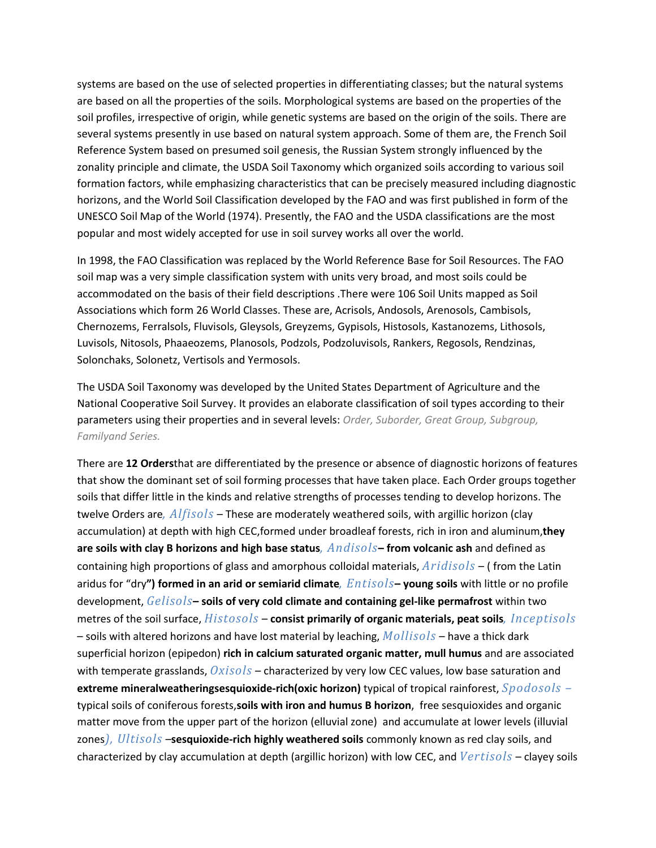systems are based on the use of selected properties in differentiating classes; but the natural systems are based on all the properties of the soils. Morphological systems are based on the properties of the soil profiles, irrespective of origin, while genetic systems are based on the origin of the soils. There are several systems presently in use based on natural system approach. Some of them are, the French Soil Reference System based on presumed soil genesis, the Russian System strongly influenced by the zonality principle and climate, the USDA Soil Taxonomy which organized soils according to various soil formation factors, while emphasizing characteristics that can be precisely measured including diagnostic horizons, and the World Soil Classification developed by the FAO and was first published in form of the UNESCO Soil Map of the World (1974). Presently, the FAO and the USDA classifications are the most popular and most widely accepted for use in soil survey works all over the world.

In 1998, the FAO Classification was replaced by the World Reference Base for Soil Resources. The FAO soil map was a very simple classification system with units very broad, and most soils could be accommodated on the basis of their field descriptions .There were 106 Soil Units mapped as Soil Associations which form 26 World Classes. These are, Acrisols, Andosols, Arenosols, Cambisols, Chernozems, Ferralsols, Fluvisols, Gleysols, Greyzems, Gypisols, Histosols, Kastanozems, Lithosols, Luvisols, Nitosols, Phaaeozems, Planosols, Podzols, Podzoluvisols, Rankers, Regosols, Rendzinas, Solonchaks, Solonetz, Vertisols and Yermosols.

The USDA Soil Taxonomy was developed by the United States Department of Agriculture and the National Cooperative Soil Survey. It provides an elaborate classification of soil types according to their parameters using their properties and in several levels: *Order, Suborder, Great Group, Subgroup, Familyand Series.*

There are **12 Orders**that are differentiated by the presence or absence of diagnostic horizons of features that show the dominant set of soil forming processes that have taken place. Each Order groups together soils that differ little in the kinds and relative strengths of processes tending to develop horizons. The twelve Orders are*, Alfisols* – These are moderately weathered soils, with argillic horizon (clay accumulation) at depth with high CEC,formed under broadleaf forests, rich in iron and aluminum,**they are soils with clay B horizons and high base status***, Andisols***– from volcanic ash** and defined as containing high proportions of glass and amorphous colloidal materials, *Aridisols* – ( from the Latin aridus for "dry**") formed in an arid or semiarid climate***, Entisols***– young soils** with little or no profile development, *Gelisols***– soils of very cold climate and containing gel-like permafrost** within two metres of the soil surface, *Histosols* – **consist primarily of organic materials, peat soils***, Inceptisols* – soils with altered horizons and have lost material by leaching, *Mollisols* – have a thick dark superficial horizon (epipedon) **rich in calcium saturated organic matter, mull humus** and are associated with temperate grasslands, *Oxisols* – characterized by very low CEC values, low base saturation and **extreme mineralweatheringsesquioxide-rich(oxic horizon)** typical of tropical rainforest, *Spodosols –* typical soils of coniferous forests,**soils with iron and humus B horizon**, free sesquioxides and organic matter move from the upper part of the horizon (elluvial zone) and accumulate at lower levels (illuvial zones*), Ultisols* –**sesquioxide-rich highly weathered soils** commonly known as red clay soils, and characterized by clay accumulation at depth (argillic horizon) with low CEC, and *Vertisols* – clayey soils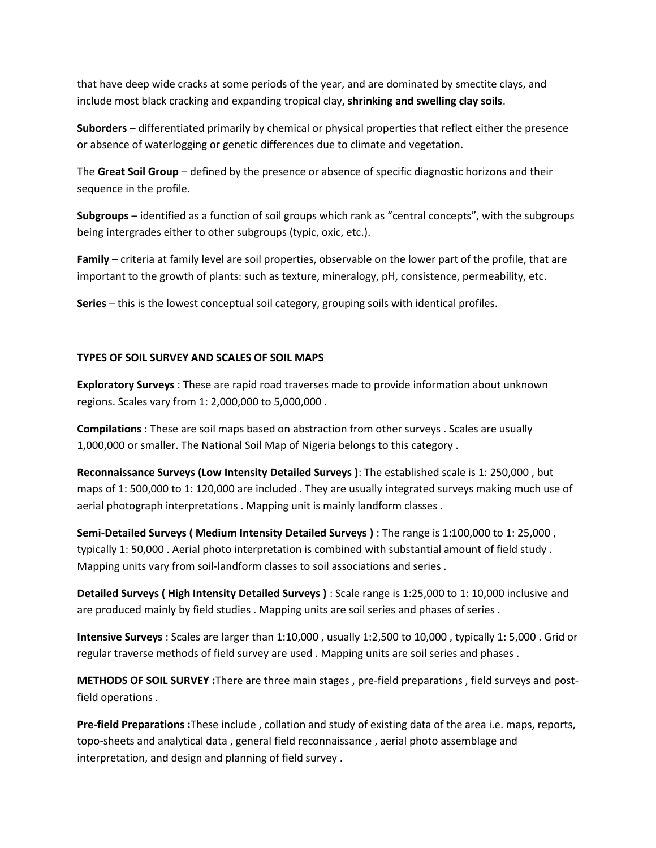that have deep wide cracks at some periods of the year, and are dominated by smectite clays, and include most black cracking and expanding tropical clay**, shrinking and swelling clay soils**.

**Suborders** – differentiated primarily by chemical or physical properties that reflect either the presence or absence of waterlogging or genetic differences due to climate and vegetation.

The **Great Soil Group** – defined by the presence or absence of specific diagnostic horizons and their sequence in the profile.

**Subgroups** – identified as a function of soil groups which rank as "central concepts", with the subgroups being intergrades either to other subgroups (typic, oxic, etc.).

**Family** – criteria at family level are soil properties, observable on the lower part of the profile, that are important to the growth of plants: such as texture, mineralogy, pH, consistence, permeability, etc.

**Series** – this is the lowest conceptual soil category, grouping soils with identical profiles.

### **TYPES OF SOIL SURVEY AND SCALES OF SOIL MAPS**

**Exploratory Surveys** : These are rapid road traverses made to provide information about unknown regions. Scales vary from 1: 2,000,000 to 5,000,000 .

**Compilations** : These are soil maps based on abstraction from other surveys . Scales are usually 1,000,000 or smaller. The National Soil Map of Nigeria belongs to this category .

**Reconnaissance Surveys (Low Intensity Detailed Surveys )**: The established scale is 1: 250,000 , but maps of 1: 500,000 to 1: 120,000 are included . They are usually integrated surveys making much use of aerial photograph interpretations . Mapping unit is mainly landform classes .

**Semi-Detailed Surveys ( Medium Intensity Detailed Surveys )** : The range is 1:100,000 to 1: 25,000 , typically 1: 50,000 . Aerial photo interpretation is combined with substantial amount of field study . Mapping units vary from soil-landform classes to soil associations and series .

**Detailed Surveys ( High Intensity Detailed Surveys )** : Scale range is 1:25,000 to 1: 10,000 inclusive and are produced mainly by field studies . Mapping units are soil series and phases of series .

**Intensive Surveys** : Scales are larger than 1:10,000 , usually 1:2,500 to 10,000 , typically 1: 5,000 . Grid or regular traverse methods of field survey are used . Mapping units are soil series and phases .

**METHODS OF SOIL SURVEY :**There are three main stages , pre-field preparations , field surveys and postfield operations .

**Pre-field Preparations :**These include , collation and study of existing data of the area i.e. maps, reports, topo-sheets and analytical data , general field reconnaissance , aerial photo assemblage and interpretation, and design and planning of field survey .